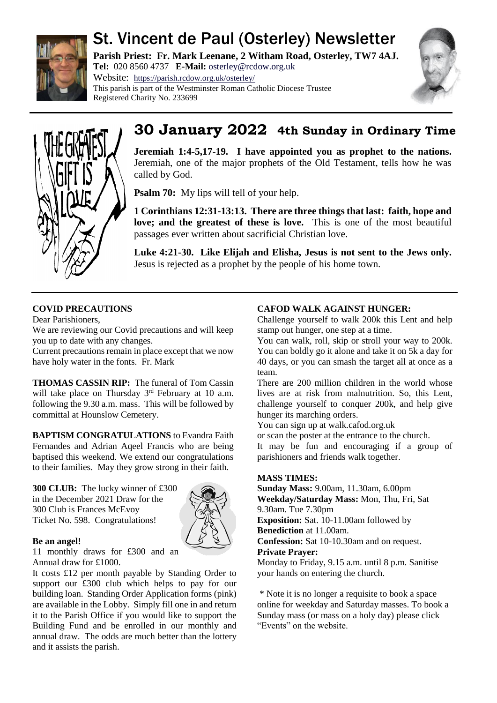

# St. Vincent de Paul (Osterley) Newsletter

**Parish Priest: Fr. Mark Leenane, 2 Witham Road, Osterley, TW7 4AJ. Tel:** 020 8560 4737 **E-Mail:** [osterley@rcdow.org.uk](mailto:osterley@rcdow.org.uk)

Website: <https://parish.rcdow.org.uk/osterley/> This parish is part of the Westminster Roman Catholic Diocese Trustee Registered Charity No. 233699





## **30 January 2022 4th Sunday in Ordinary Time**

**Jeremiah 1:4-5,17-19. I have appointed you as prophet to the nations.**  Jeremiah, one of the major prophets of the Old Testament, tells how he was called by God.

**Psalm 70:** My lips will tell of your help.

**1 Corinthians 12:31-13:13. There are three things that last: faith, hope and love; and the greatest of these is love.** This is one of the most beautiful passages ever written about sacrificial Christian love.

**Luke 4:21-30. Like Elijah and Elisha, Jesus is not sent to the Jews only.**  Jesus is rejected as a prophet by the people of his home town.

## **COVID PRECAUTIONS**

Dear Parishioners,

We are reviewing our Covid precautions and will keep you up to date with any changes.

Current precautions remain in place except that we now have holy water in the fonts. Fr. Mark

**THOMAS CASSIN RIP:** The funeral of Tom Cassin will take place on Thursday  $3<sup>rd</sup>$  February at 10 a.m. following the 9.30 a.m. mass. This will be followed by committal at Hounslow Cemetery.

**BAPTISM CONGRATULATIONS** to Evandra Faith Fernandes and Adrian Aqeel Francis who are being baptised this weekend. We extend our congratulations to their families. May they grow strong in their faith.

**300 CLUB:** The lucky winner of £300 in the December 2021 Draw for the 300 Club is Frances McEvoy Ticket No. 598. Congratulations!



## **Be an angel!**

11 monthly draws for £300 and an Annual draw for £1000.

It costs £12 per month payable by Standing Order to support our £300 club which helps to pay for our building loan. Standing Order Application forms (pink) are available in the Lobby. Simply fill one in and return it to the Parish Office if you would like to support the Building Fund and be enrolled in our monthly and annual draw. The odds are much better than the lottery and it assists the parish.

## **CAFOD WALK AGAINST HUNGER:**

Challenge yourself to walk 200k this Lent and help stamp out hunger, one step at a time.

You can walk, roll, skip or stroll your way to 200k. You can boldly go it alone and take it on 5k a day for 40 days, or you can smash the target all at once as a team.

There are 200 million children in the world whose lives are at risk from malnutrition. So, this Lent, challenge yourself to conquer 200k, and help give hunger its marching orders.

You can sign up at walk.cafod.org.uk

or scan the poster at the entrance to the church.

It may be fun and encouraging if a group of parishioners and friends walk together.

## **MASS TIMES:**

**Sunday Mass:** 9.00am, 11.30am, 6.00pm **Weekday/Saturday Mass:** Mon, Thu, Fri, Sat 9.30am. Tue 7.30pm **Exposition:** Sat. 10-11.00am followed by

**Benediction** at 11.00am.

**Confession:** Sat 10-10.30am and on request.

**Private Prayer:** 

Monday to Friday, 9.15 a.m. until 8 p.m. Sanitise your hands on entering the church.

\* Note it is no longer a requisite to book a space online for weekday and Saturday masses. To book a Sunday mass (or mass on a holy day) please click "Events" on the website.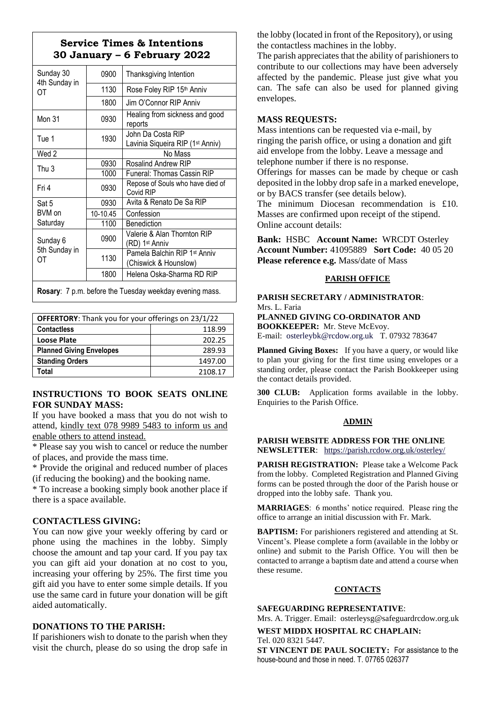## **Service Times & Intentions 30 January – 6 February 2022**

| Sunday 30<br>4th Sunday in<br>OТ | 0900     | Thanksgiving Intention                                            |  |
|----------------------------------|----------|-------------------------------------------------------------------|--|
|                                  | 1130     | Rose Foley RIP 15th Anniv                                         |  |
|                                  | 1800     | Jim O'Connor RIP Anniv                                            |  |
| Mon 31                           | 0930     | Healing from sickness and good<br>reports                         |  |
| Tue 1                            | 1930     | John Da Costa RIP<br>Lavinia Siqueira RIP (1 <sup>st</sup> Anniv) |  |
| Wed 2                            |          | No Mass                                                           |  |
| Thu 3                            | 0930     | Rosalind Andrew RIP                                               |  |
|                                  | 1000     | Funeral: Thomas Cassin RIP                                        |  |
| Fri 4                            | 0930     | Repose of Souls who have died of<br>Covid RIP                     |  |
| Sat 5<br>BVM on<br>Saturday      | 0930     | Avita & Renato De Sa RIP                                          |  |
|                                  | 10-10.45 | Confession                                                        |  |
|                                  | 1100     | Benediction                                                       |  |
| Sunday 6<br>5th Sunday in<br>ОT  | 0900     | Valerie & Alan Thornton RIP<br>(RD) 1 <sup>st</sup> Anniv         |  |
|                                  | 1130     | Pamela Balchin RIP 1st Anniv<br>(Chiswick & Hounslow)             |  |
|                                  | 1800     | Helena Oska-Sharma RD RIP                                         |  |
|                                  |          |                                                                   |  |

**Rosary**: 7 p.m. before the Tuesday weekday evening mass.

| <b>OFFERTORY:</b> Thank you for your offerings on 23/1/22 |         |  |
|-----------------------------------------------------------|---------|--|
| <b>Contactless</b>                                        | 118.99  |  |
| <b>Loose Plate</b>                                        | 202.25  |  |
| <b>Planned Giving Envelopes</b>                           | 289.93  |  |
| <b>Standing Orders</b>                                    | 1497.00 |  |
| Total                                                     | 2108.17 |  |

#### **INSTRUCTIONS TO BOOK SEATS ONLINE FOR SUNDAY MASS:**

If you have booked a mass that you do not wish to attend, kindly text 078 9989 5483 to inform us and enable others to attend instead.

\* Please say you wish to cancel or reduce the number of places, and provide the mass time.

\* Provide the original and reduced number of places (if reducing the booking) and the booking name.

\* To increase a booking simply book another place if there is a space available.

#### **CONTACTLESS GIVING:**

You can now give your weekly offering by card or phone using the machines in the lobby. Simply choose the amount and tap your card. If you pay tax you can gift aid your donation at no cost to you, increasing your offering by 25%. The first time you gift aid you have to enter some simple details. If you use the same card in future your donation will be gift aided automatically.

#### **DONATIONS TO THE PARISH:**

If parishioners wish to donate to the parish when they visit the church, please do so using the drop safe in the lobby (located in front of the Repository), or using the contactless machines in the lobby.

The parish appreciates that the ability of parishioners to contribute to our collections may have been adversely affected by the pandemic. Please just give what you can. The safe can also be used for planned giving envelopes.

#### **MASS REQUESTS:**

Mass intentions can be requested via e-mail, by ringing the parish office, or using a donation and gift aid envelope from the lobby. Leave a message and telephone number if there is no response.

Offerings for masses can be made by cheque or cash deposited in the lobby drop safe in a marked enevelope, or by BACS transfer (see details below).

The minimum Diocesan recommendation is £10. Masses are confirmed upon receipt of the stipend. Online account details:

**Bank:** HSBC **Account Name:** WRCDT Osterley **Account Number:** 41095889 **Sort Code:** 40 05 20 **Please reference e.g.** Mass/date of Mass

#### **PARISH OFFICE**

**PARISH SECRETARY / ADMINISTRATOR**: Mrs. L. Faria **PLANNED GIVING CO-ORDINATOR AND**

**BOOKKEEPER:** Mr. Steve McEvoy. E-mail: [osterleybk@rcdow.org.uk](mailto:osterleybk@rcdow.org.uk) T. 07932 783647

**Planned Giving Boxes:** If you have a query, or would like to plan your giving for the first time using envelopes or a standing order, please contact the Parish Bookkeeper using the contact details provided.

**300 CLUB:** Application forms available in the lobby. Enquiries to the Parish Office.

#### **ADMIN**

**PARISH WEBSITE ADDRESS FOR THE ONLINE NEWSLETTER**: <https://parish.rcdow.org.uk/osterley/>

**PARISH REGISTRATION:** Please take a Welcome Pack from the lobby. Completed Registration and Planned Giving forms can be posted through the door of the Parish house or dropped into the lobby safe. Thank you.

**MARRIAGES**: 6 months' notice required. Please ring the office to arrange an initial discussion with Fr. Mark.

**BAPTISM:** For parishioners registered and attending at St. Vincent's. Please complete a form (available in the lobby or online) and submit to the Parish Office. You will then be contacted to arrange a baptism date and attend a course when these resume.

#### **CONTACTS**

#### **SAFEGUARDING REPRESENTATIVE**:

Mrs. A. Trigger. Email: osterleysg@safeguardrcdow.org.uk

**WEST MIDDX HOSPITAL RC CHAPLAIN:**  Tel. 020 8321 5447.

**ST VINCENT DE PAUL SOCIETY:** For assistance to the house-bound and those in need. T. 07765 026377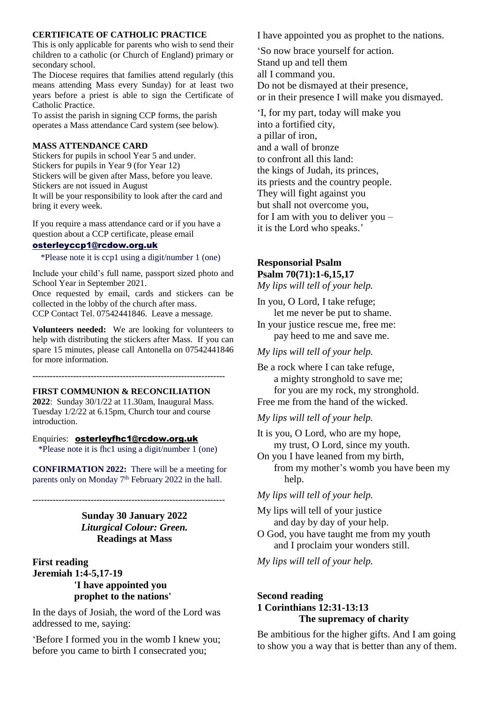#### **CERTIFICATE OF CATHOLIC PRACTICE**

This is only applicable for parents who wish to send their children to a catholic (or Church of England) primary or secondary school.

The Diocese requires that families attend regularly (this means attending Mass every Sunday) for at least two years before a priest is able to sign the Certificate of Catholic Practice.

To assist the parish in signing CCP forms, the parish operates a Mass attendance Card system (see below).

#### **MASS ATTENDANCE CARD**

Stickers for pupils in school Year 5 and under. Stickers for pupils in Year 9 (for Year 12) Stickers will be given after Mass, before you leave. Stickers are not issued in August It will be your responsibility to look after the card and bring it every week.

If you require a mass attendance card or if you have a question about a CCP certificate, please email

#### [osterleyccp1@rcdow.org.uk](mailto:osterleyccp1@rcdow.org.uk)

\*Please note it is ccp1 using a digit/number 1 (one)

Include your child's full name, passport sized photo and School Year in September 2021.

Once requested by email, cards and stickers can be collected in the lobby of the church after mass. CCP Contact Tel. 07542441846. Leave a message.

**Volunteers needed:** We are looking for volunteers to help with distributing the stickers after Mass. If you can spare 15 minutes, please call Antonella on 07542441846 for more information.

**------------------------------------------------------------------**

#### **FIRST COMMUNION & RECONCILIATION**

**2022**: Sunday 30/1/22 at 11.30am, Inaugural Mass. Tuesday 1/2/22 at 6.15pm, Church tour and course introduction.

#### Enquiries: [osterleyfhc1@rcdow.org.uk](mailto:osterleyfhc1@rcdow.org.uk)

\*Please note it is fhc1 using a digit/number 1 (one)

**CONFIRMATION 2022:** There will be a meeting for parents only on Monday 7<sup>th</sup> February 2022 in the hall.

**------------------------------------------------------------------ Sunday 30 January 2022** *Liturgical Colour: Green.*

**Readings at Mass**

**First reading Jeremiah 1:4-5,17-19 'I have appointed you prophet to the nations'**

In the days of Josiah, the word of the Lord was addressed to me, saying:

'Before I formed you in the womb I knew you; before you came to birth I consecrated you;

I have appointed you as prophet to the nations.

'So now brace yourself for action. Stand up and tell them all I command you. Do not be dismayed at their presence, or in their presence I will make you dismayed.

'I, for my part, today will make you into a fortified city, a pillar of iron, and a wall of bronze to confront all this land: the kings of Judah, its princes, its priests and the country people. They will fight against you but shall not overcome you, for I am with you to deliver you – it is the Lord who speaks.'

## **Responsorial Psalm**

## **Psalm 70(71):1-6,15,17**

*My lips will tell of your help.*

In you, O Lord, I take refuge; let me never be put to shame.

In your justice rescue me, free me: pay heed to me and save me.

*My lips will tell of your help.*

Be a rock where I can take refuge, a mighty stronghold to save me; for you are my rock, my stronghold. Free me from the hand of the wicked.

*My lips will tell of your help.*

It is you, O Lord, who are my hope, my trust, O Lord, since my youth.

On you I have leaned from my birth, from my mother's womb you have been my help.

*My lips will tell of your help.*

My lips will tell of your justice and day by day of your help.

O God, you have taught me from my youth and I proclaim your wonders still.

*My lips will tell of your help.*

## **Second reading 1 Corinthians 12:31-13:13 The supremacy of charity**

Be ambitious for the higher gifts. And I am going to show you a way that is better than any of them.